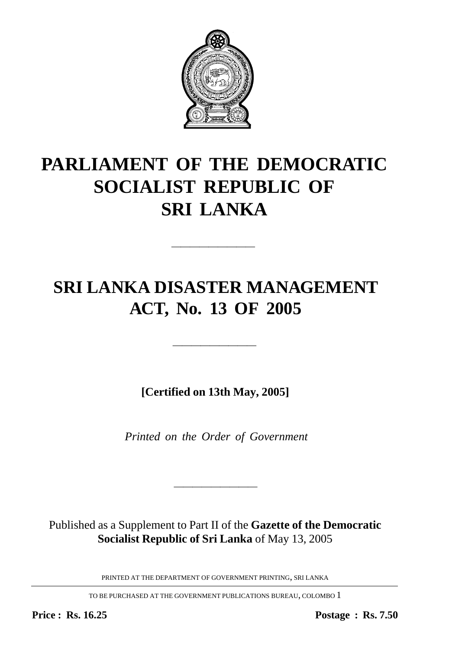

# **PARLIAMENT OF THE DEMOCRATIC SOCIALIST REPUBLIC OF SRI LANKA**

—————————

## **SRI LANKA DISASTER MANAGEMENT ACT, No. 13 OF 2005**

**[Certified on 13th May, 2005]**

—————————

*Printed on the Order of Government*

Published as a Supplement to Part II of the **Gazette of the Democratic Socialist Republic of Sri Lanka** of May 13, 2005

————————————————————

PRINTED AT THE DEPARTMENT OF GOVERNMENT PRINTING, SRI LANKA

TO BE PURCHASED AT THE GOVERNMENT PUBLICATIONS BUREAU, COLOMBO 1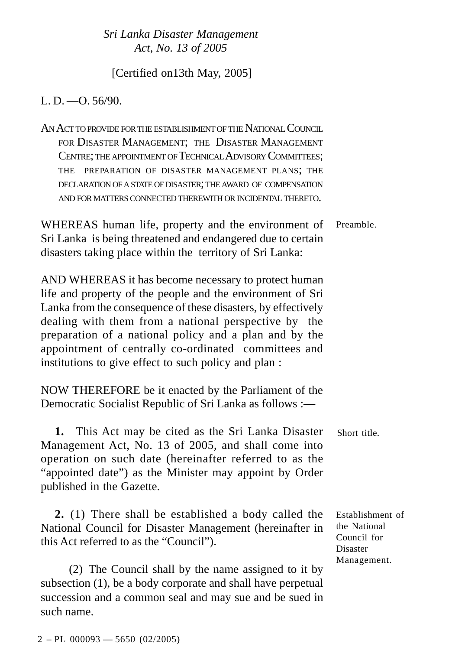#### [Certified on13th May, 2005]

L. D.  $-$ O. 56/90.

AN ACT TO PROVIDE FOR THE ESTABLISHMENT OF THE NATIONAL COUNCIL FOR DISASTER MANAGEMENT; THE DISASTER MANAGEMENT CENTRE; THE APPOINTMENT OF TECHNICAL ADVISORY COMMITTEES; THE PREPARATION OF DISASTER MANAGEMENT PLANS; THE DECLARATION OF A STATE OF DISASTER; THE AWARD OF COMPENSATION AND FOR MATTERS CONNECTED THEREWITH OR INCIDENTAL THERETO.

WHEREAS human life, property and the environment of Sri Lanka is being threatened and endangered due to certain disasters taking place within the territory of Sri Lanka: Preamble.

AND WHEREAS it has become necessary to protect human life and property of the people and the environment of Sri Lanka from the consequence of these disasters, by effectively dealing with them from a national perspective by the preparation of a national policy and a plan and by the appointment of centrally co-ordinated committees and institutions to give effect to such policy and plan :

NOW THEREFORE be it enacted by the Parliament of the Democratic Socialist Republic of Sri Lanka as follows :—

| 1. This Act may be cited as the Sri Lanka Disaster Short title. |  |
|-----------------------------------------------------------------|--|
| Management Act, No. 13 of 2005, and shall come into             |  |
| operation on such date (hereinafter referred to as the          |  |
| "appointed date") as the Minister may appoint by Order          |  |
| published in the Gazette.                                       |  |

**2.** (1) There shall be established a body called the National Council for Disaster Management (hereinafter in this Act referred to as the "Council").

(2) The Council shall by the name assigned to it by subsection (1), be a body corporate and shall have perpetual succession and a common seal and may sue and be sued in such name.

Establishment of the National Council for Disaster Management.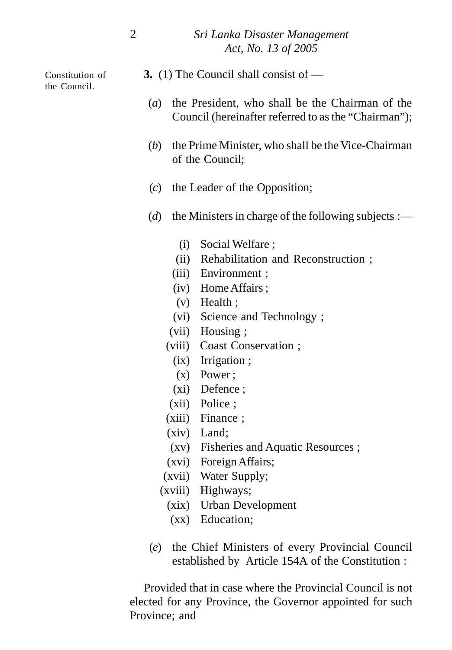Constitution of the Council.

- **3.** (1) The Council shall consist of —
- (*a*) the President, who shall be the Chairman of the Council (hereinafter referred to as the "Chairman");
- (*b*) the Prime Minister, who shall be the Vice-Chairman of the Council;
- (*c*) the Leader of the Opposition;
- (*d*) the Ministers in charge of the following subjects :—
	- (i) Social Welfare ;
	- (ii) Rehabilitation and Reconstruction ;
	- (iii) Environment ;
	- (iv) Home Affairs ;
	- (v) Health ;
	- (vi) Science and Technology ;
	- (vii) Housing ;
	- (viii) Coast Conservation ;
		- (ix) Irrigation ;
		- (x) Power ;
		- (xi) Defence ;
	- (xii) Police ;
	- (xiii) Finance ;
	- (xiv) Land;
	- (xv) Fisheries and Aquatic Resources ;
	- (xvi) Foreign Affairs;
	- (xvii) Water Supply;
	- (xviii) Highways;
		- (xix) Urban Development
		- (xx) Education;
- (*e*) the Chief Ministers of every Provincial Council established by Article 154A of the Constitution :

Provided that in case where the Provincial Council is not elected for any Province, the Governor appointed for such Province; and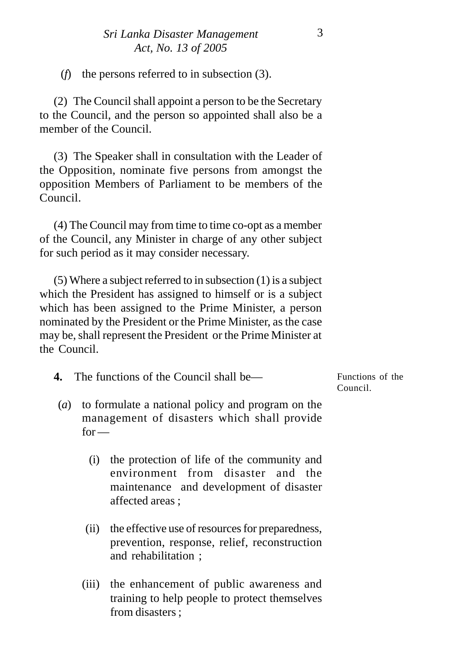(*f*) the persons referred to in subsection (3).

(2) The Council shall appoint a person to be the Secretary to the Council, and the person so appointed shall also be a member of the Council.

(3) The Speaker shall in consultation with the Leader of the Opposition, nominate five persons from amongst the opposition Members of Parliament to be members of the Council.

(4) The Council may from time to time co-opt as a member of the Council, any Minister in charge of any other subject for such period as it may consider necessary.

(5) Where a subject referred to in subsection (1) is a subject which the President has assigned to himself or is a subject which has been assigned to the Prime Minister, a person nominated by the President or the Prime Minister, as the case may be, shall represent the President or the Prime Minister at the Council.

| 4. | The functions of the Council shall be— | Functions of the |
|----|----------------------------------------|------------------|
|    |                                        | Council.         |

- (*a*) to formulate a national policy and program on the management of disasters which shall provide  $for -$ 
	- (i) the protection of life of the community and environment from disaster and the maintenance and development of disaster affected areas ;
	- (ii) the effective use of resources for preparedness, prevention, response, relief, reconstruction and rehabilitation ;
	- (iii) the enhancement of public awareness and training to help people to protect themselves from disasters ;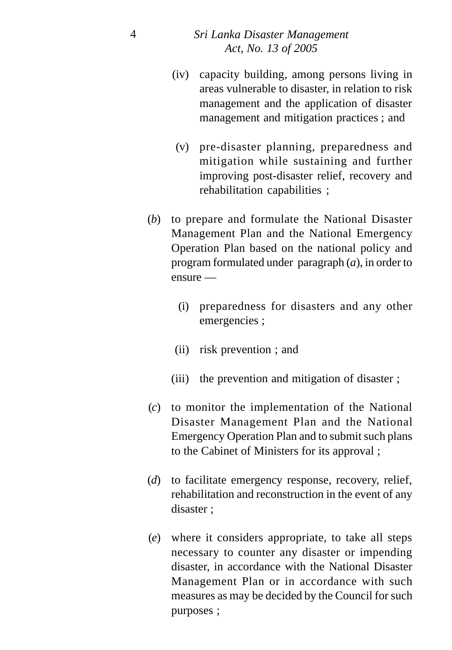- (iv) capacity building, among persons living in areas vulnerable to disaster, in relation to risk management and the application of disaster management and mitigation practices ; and
- (v) pre-disaster planning, preparedness and mitigation while sustaining and further improving post-disaster relief, recovery and rehabilitation capabilities ;
- (*b*) to prepare and formulate the National Disaster Management Plan and the National Emergency Operation Plan based on the national policy and program formulated under paragraph (*a*), in order to ensure —
	- (i) preparedness for disasters and any other emergencies ;
	- (ii) risk prevention ; and
	- (iii) the prevention and mitigation of disaster ;
- (*c*) to monitor the implementation of the National Disaster Management Plan and the National Emergency Operation Plan and to submit such plans to the Cabinet of Ministers for its approval ;
- (*d*) to facilitate emergency response, recovery, relief, rehabilitation and reconstruction in the event of any disaster ;
- (*e*) where it considers appropriate, to take all steps necessary to counter any disaster or impending disaster, in accordance with the National Disaster Management Plan or in accordance with such measures as may be decided by the Council for such purposes ;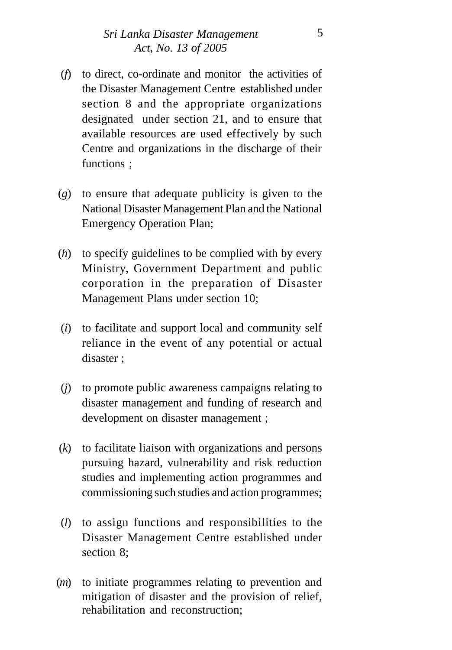- (*f*) to direct, co-ordinate and monitor the activities of the Disaster Management Centre established under section 8 and the appropriate organizations designated under section 21, and to ensure that available resources are used effectively by such Centre and organizations in the discharge of their functions ;
- (*g*) to ensure that adequate publicity is given to the National Disaster Management Plan and the National Emergency Operation Plan;
- (*h*) to specify guidelines to be complied with by every Ministry, Government Department and public corporation in the preparation of Disaster Management Plans under section 10;
- (*i*) to facilitate and support local and community self reliance in the event of any potential or actual disaster ;
- (*j*) to promote public awareness campaigns relating to disaster management and funding of research and development on disaster management ;
- (*k*) to facilitate liaison with organizations and persons pursuing hazard, vulnerability and risk reduction studies and implementing action programmes and commissioning such studies and action programmes;
- (*l*) to assign functions and responsibilities to the Disaster Management Centre established under section 8;
- (*m*) to initiate programmes relating to prevention and mitigation of disaster and the provision of relief, rehabilitation and reconstruction;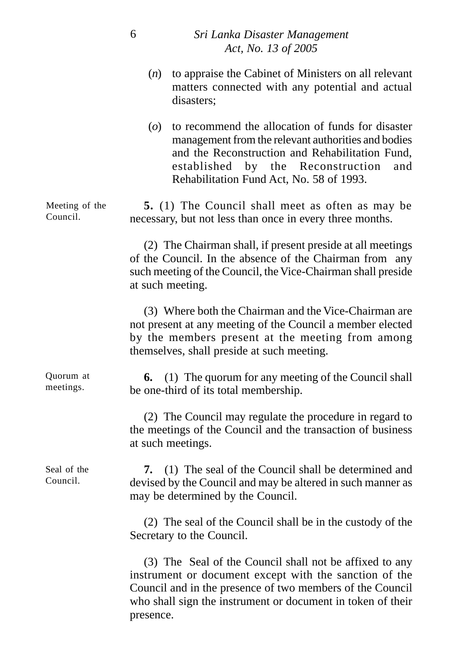| $(n)$ to appraise the Cabinet of Ministers on all relevant |
|------------------------------------------------------------|
| matters connected with any potential and actual            |
| disasters:                                                 |

(*o*) to recommend the allocation of funds for disaster management from the relevant authorities and bodies and the Reconstruction and Rehabilitation Fund, established by the Reconstruction and Rehabilitation Fund Act, No. 58 of 1993.

**5.** (1) The Council shall meet as often as may be necessary, but not less than once in every three months. Meeting of the Council.

> (2) The Chairman shall, if present preside at all meetings of the Council. In the absence of the Chairman from any such meeting of the Council, the Vice-Chairman shall preside at such meeting.

> (3) Where both the Chairman and the Vice-Chairman are not present at any meeting of the Council a member elected by the members present at the meeting from among themselves, shall preside at such meeting.

| Quorum at | <b>6.</b> (1) The quorum for any meeting of the Council shall |
|-----------|---------------------------------------------------------------|
| meetings. | be one-third of its total membership.                         |

(2) The Council may regulate the procedure in regard to the meetings of the Council and the transaction of business at such meetings.

Seal of the Council.

**7.** (1) The seal of the Council shall be determined and devised by the Council and may be altered in such manner as may be determined by the Council.

(2) The seal of the Council shall be in the custody of the Secretary to the Council.

(3) The Seal of the Council shall not be affixed to any instrument or document except with the sanction of the Council and in the presence of two members of the Council who shall sign the instrument or document in token of their presence.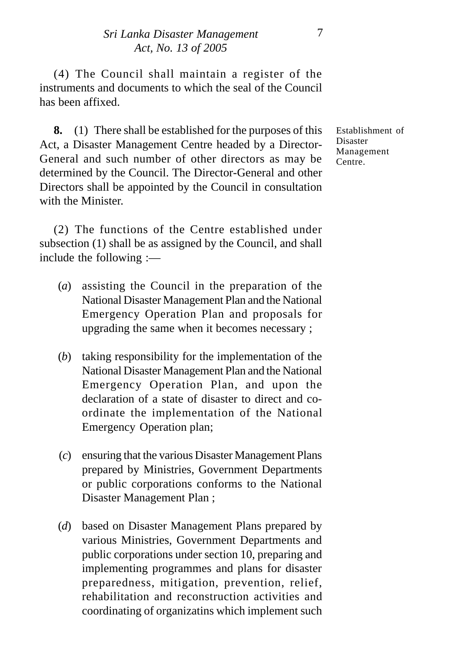(4) The Council shall maintain a register of the instruments and documents to which the seal of the Council has been affixed.

**8.** (1) There shall be established for the purposes of this Act, a Disaster Management Centre headed by a Director-General and such number of other directors as may be determined by the Council. The Director-General and other Directors shall be appointed by the Council in consultation with the Minister.

(2) The functions of the Centre established under subsection (1) shall be as assigned by the Council, and shall include the following :—

- (*a*) assisting the Council in the preparation of the National Disaster Management Plan and the National Emergency Operation Plan and proposals for upgrading the same when it becomes necessary ;
- (*b*) taking responsibility for the implementation of the National Disaster Management Plan and the National Emergency Operation Plan, and upon the declaration of a state of disaster to direct and coordinate the implementation of the National Emergency Operation plan;
- (*c*) ensuring that the various Disaster Management Plans prepared by Ministries, Government Departments or public corporations conforms to the National Disaster Management Plan ;
- (*d*) based on Disaster Management Plans prepared by various Ministries, Government Departments and public corporations under section 10, preparing and implementing programmes and plans for disaster preparedness, mitigation, prevention, relief, rehabilitation and reconstruction activities and coordinating of organizatins which implement such

Establishment of Disaster Management Centre.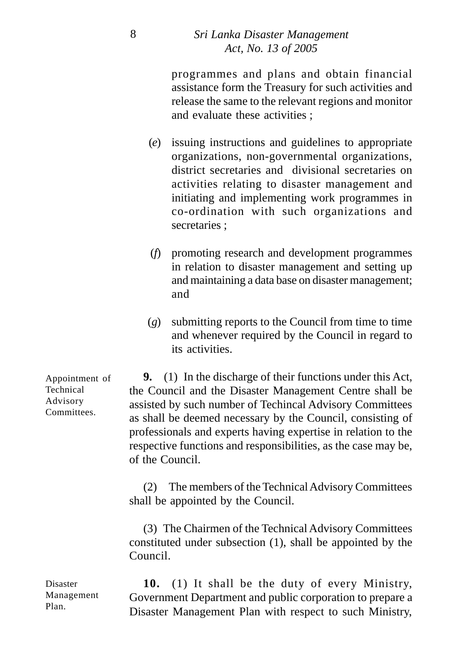programmes and plans and obtain financial assistance form the Treasury for such activities and release the same to the relevant regions and monitor and evaluate these activities ;

- (*e*) issuing instructions and guidelines to appropriate organizations, non-governmental organizations, district secretaries and divisional secretaries on activities relating to disaster management and initiating and implementing work programmes in co-ordination with such organizations and secretaries :
- (*f*) promoting research and development programmes in relation to disaster management and setting up and maintaining a data base on disaster management; and
- (*g*) submitting reports to the Council from time to time and whenever required by the Council in regard to its activities.

**9.** (1) In the discharge of their functions under this Act, the Council and the Disaster Management Centre shall be assisted by such number of Techincal Advisory Committees as shall be deemed necessary by the Council, consisting of professionals and experts having expertise in relation to the respective functions and responsibilities, as the case may be, of the Council.

(2) The members of the Technical Advisory Committees shall be appointed by the Council.

(3) The Chairmen of the Technical Advisory Committees constituted under subsection (1), shall be appointed by the Council.

**10.** (1) It shall be the duty of every Ministry, Government Department and public corporation to prepare a Disaster Management Plan with respect to such Ministry,

Appointment of Technical Advisory **Committees** 

Disaster Management Plan.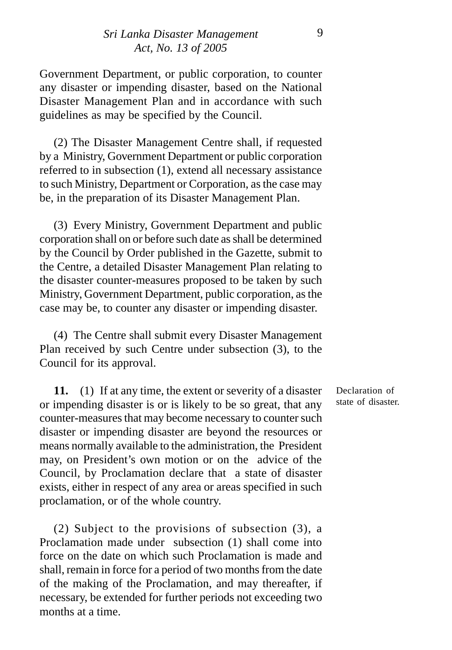Government Department, or public corporation, to counter any disaster or impending disaster, based on the National Disaster Management Plan and in accordance with such guidelines as may be specified by the Council.

(2) The Disaster Management Centre shall, if requested by a Ministry, Government Department or public corporation referred to in subsection (1), extend all necessary assistance to such Ministry, Department or Corporation, as the case may be, in the preparation of its Disaster Management Plan.

(3) Every Ministry, Government Department and public corporation shall on or before such date as shall be determined by the Council by Order published in the Gazette, submit to the Centre, a detailed Disaster Management Plan relating to the disaster counter-measures proposed to be taken by such Ministry, Government Department, public corporation, as the case may be, to counter any disaster or impending disaster.

(4) The Centre shall submit every Disaster Management Plan received by such Centre under subsection (3), to the Council for its approval.

**11.** (1) If at any time, the extent or severity of a disaster or impending disaster is or is likely to be so great, that any counter-measures that may become necessary to counter such disaster or impending disaster are beyond the resources or means normally available to the administration, the President may, on President's own motion or on the advice of the Council, by Proclamation declare that a state of disaster exists, either in respect of any area or areas specified in such proclamation, or of the whole country.

(2) Subject to the provisions of subsection (3), a Proclamation made under subsection (1) shall come into force on the date on which such Proclamation is made and shall, remain in force for a period of two months from the date of the making of the Proclamation, and may thereafter, if necessary, be extended for further periods not exceeding two months at a time.

Declaration of state of disaster.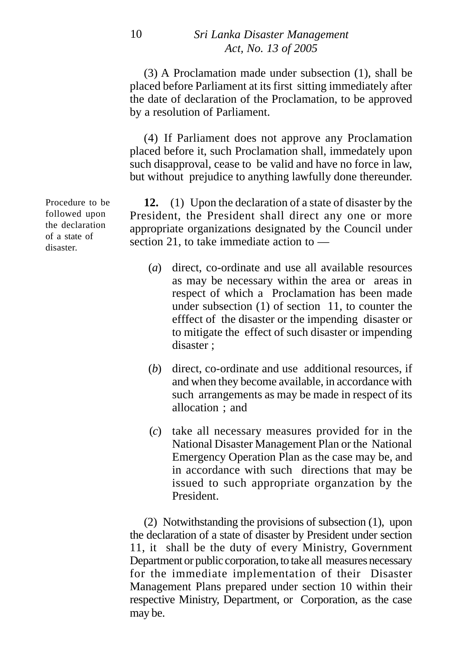(3) A Proclamation made under subsection (1), shall be placed before Parliament at its first sitting immediately after the date of declaration of the Proclamation, to be approved by a resolution of Parliament.

(4) If Parliament does not approve any Proclamation placed before it, such Proclamation shall, immedately upon such disapproval, cease to be valid and have no force in law, but without prejudice to anything lawfully done thereunder.

**12.** (1) Upon the declaration of a state of disaster by the President, the President shall direct any one or more appropriate organizations designated by the Council under section 21, to take immediate action to —

- (*a*) direct, co-ordinate and use all available resources as may be necessary within the area or areas in respect of which a Proclamation has been made under subsection (1) of section 11, to counter the efffect of the disaster or the impending disaster or to mitigate the effect of such disaster or impending disaster ;
- (*b*) direct, co-ordinate and use additional resources, if and when they become available, in accordance with such arrangements as may be made in respect of its allocation ; and
- (*c*) take all necessary measures provided for in the National Disaster Management Plan or the National Emergency Operation Plan as the case may be, and in accordance with such directions that may be issued to such appropriate organzation by the President.

(2) Notwithstanding the provisions of subsection (1), upon the declaration of a state of disaster by President under section 11, it shall be the duty of every Ministry, Government Department or public corporation, to take all measures necessary for the immediate implementation of their Disaster Management Plans prepared under section 10 within their respective Ministry, Department, or Corporation, as the case may be.

Procedure to be followed upon the declaration of a state of disaster.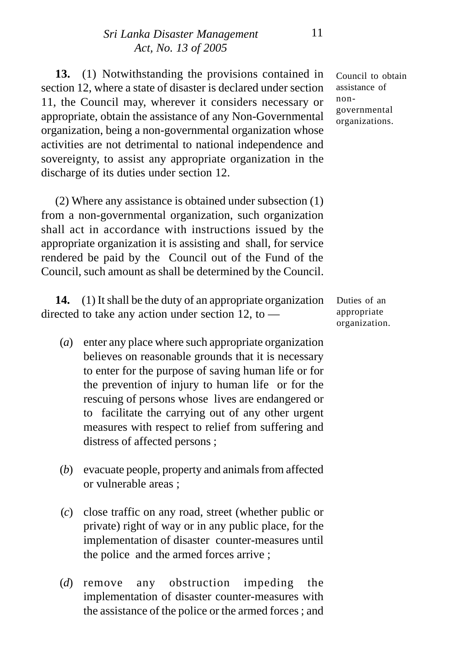**13.** (1) Notwithstanding the provisions contained in section 12, where a state of disaster is declared under section 11, the Council may, wherever it considers necessary or appropriate, obtain the assistance of any Non-Governmental organization, being a non-governmental organization whose activities are not detrimental to national independence and sovereignty, to assist any appropriate organization in the discharge of its duties under section 12.

(2) Where any assistance is obtained under subsection (1) from a non-governmental organization, such organization shall act in accordance with instructions issued by the appropriate organization it is assisting and shall, for service rendered be paid by the Council out of the Fund of the Council, such amount as shall be determined by the Council.

**14.** (1) It shall be the duty of an appropriate organization directed to take any action under section 12, to  $-$ 

- (*a*) enter any place where such appropriate organization believes on reasonable grounds that it is necessary to enter for the purpose of saving human life or for the prevention of injury to human life or for the rescuing of persons whose lives are endangered or to facilitate the carrying out of any other urgent measures with respect to relief from suffering and distress of affected persons ;
- (*b*) evacuate people, property and animals from affected or vulnerable areas ;
- (*c*) close traffic on any road, street (whether public or private) right of way or in any public place, for the implementation of disaster counter-measures until the police and the armed forces arrive ;
- (*d*) remove any obstruction impeding the implementation of disaster counter-measures with the assistance of the police or the armed forces ; and

Council to obtain assistance of nongovernmental organizations.

Duties of an appropriate organization.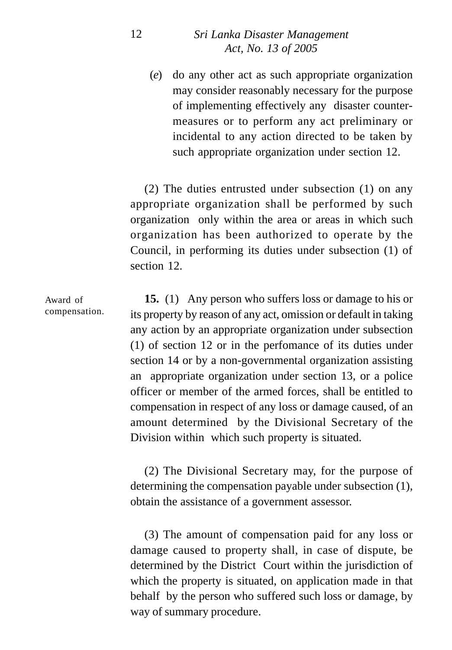(*e*) do any other act as such appropriate organization may consider reasonably necessary for the purpose of implementing effectively any disaster countermeasures or to perform any act preliminary or incidental to any action directed to be taken by such appropriate organization under section 12.

(2) The duties entrusted under subsection (1) on any appropriate organization shall be performed by such organization only within the area or areas in which such organization has been authorized to operate by the Council, in performing its duties under subsection (1) of section 12.

**15.** (1) Any person who suffers loss or damage to his or its property by reason of any act, omission or default in taking any action by an appropriate organization under subsection (1) of section 12 or in the perfomance of its duties under section 14 or by a non-governmental organization assisting an appropriate organization under section 13, or a police officer or member of the armed forces, shall be entitled to compensation in respect of any loss or damage caused, of an amount determined by the Divisional Secretary of the Division within which such property is situated. Award of compensation.

> (2) The Divisional Secretary may, for the purpose of determining the compensation payable under subsection (1), obtain the assistance of a government assessor.

> (3) The amount of compensation paid for any loss or damage caused to property shall, in case of dispute, be determined by the District Court within the jurisdiction of which the property is situated, on application made in that behalf by the person who suffered such loss or damage, by way of summary procedure.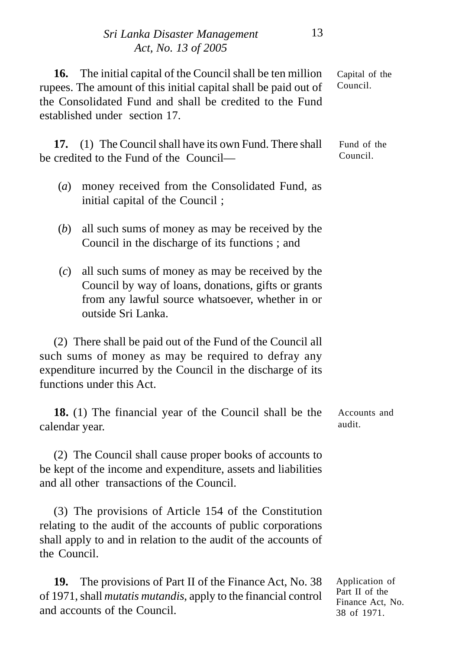**16.** The initial capital of the Council shall be ten million rupees. The amount of this initial capital shall be paid out of the Consolidated Fund and shall be credited to the Fund established under section 17. Capital of the Council.

**17.** (1) The Council shall have its own Fund. There shall be credited to the Fund of the Council— Fund of the Council.

- (*a*) money received from the Consolidated Fund, as initial capital of the Council ;
- (*b*) all such sums of money as may be received by the Council in the discharge of its functions ; and
- (*c*) all such sums of money as may be received by the Council by way of loans, donations, gifts or grants from any lawful source whatsoever, whether in or outside Sri Lanka.

(2) There shall be paid out of the Fund of the Council all such sums of money as may be required to defray any expenditure incurred by the Council in the discharge of its functions under this Act.

**18.** (1) The financial year of the Council shall be the calendar year. Accounts and audit.

(2) The Council shall cause proper books of accounts to be kept of the income and expenditure, assets and liabilities and all other transactions of the Council.

(3) The provisions of Article 154 of the Constitution relating to the audit of the accounts of public corporations shall apply to and in relation to the audit of the accounts of the Council.

| <b>19.</b> The provisions of Part II of the Finance Act, No. 38         |  |
|-------------------------------------------------------------------------|--|
| of 1971, shall <i>mutatis mutandis</i> , apply to the financial control |  |
| and accounts of the Council.                                            |  |

Application of Part II of the Finance Act, No. 38 of 1971.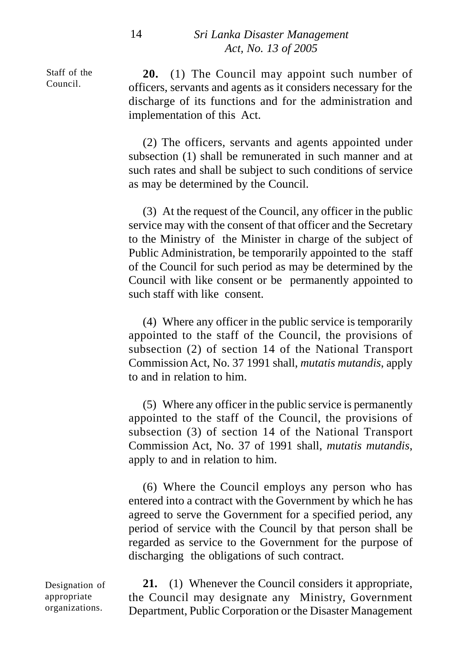Staff of the Council.

**20.** (1) The Council may appoint such number of officers, servants and agents as it considers necessary for the discharge of its functions and for the administration and implementation of this Act.

(2) The officers, servants and agents appointed under subsection (1) shall be remunerated in such manner and at such rates and shall be subject to such conditions of service as may be determined by the Council.

(3) At the request of the Council, any officer in the public service may with the consent of that officer and the Secretary to the Ministry of the Minister in charge of the subject of Public Administration, be temporarily appointed to the staff of the Council for such period as may be determined by the Council with like consent or be permanently appointed to such staff with like consent.

(4) Where any officer in the public service is temporarily appointed to the staff of the Council, the provisions of subsection (2) of section 14 of the National Transport Commission Act, No. 37 1991 shall, *mutatis mutandis*, apply to and in relation to him.

(5) Where any officer in the public service is permanently appointed to the staff of the Council, the provisions of subsection (3) of section 14 of the National Transport Commission Act, No. 37 of 1991 shall, *mutatis mutandis*, apply to and in relation to him.

(6) Where the Council employs any person who has entered into a contract with the Government by which he has agreed to serve the Government for a specified period, any period of service with the Council by that person shall be regarded as service to the Government for the purpose of discharging the obligations of such contract.

Designation of appropriate organizations.

**21.** (1) Whenever the Council considers it appropriate, the Council may designate any Ministry, Government Department, Public Corporation or the Disaster Management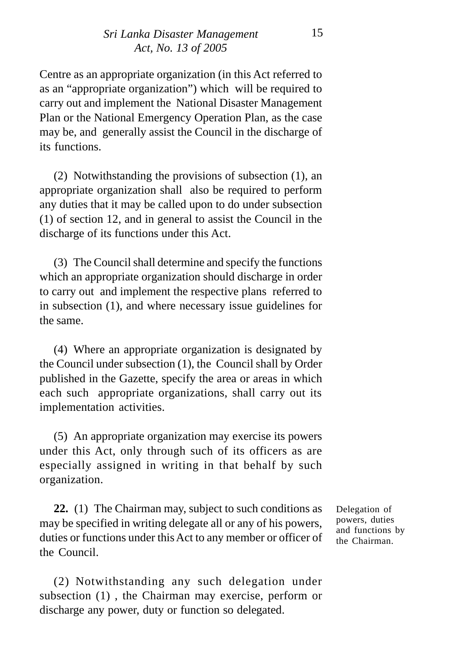Centre as an appropriate organization (in this Act referred to as an "appropriate organization") which will be required to carry out and implement the National Disaster Management Plan or the National Emergency Operation Plan, as the case may be, and generally assist the Council in the discharge of its functions.

(2) Notwithstanding the provisions of subsection (1), an appropriate organization shall also be required to perform any duties that it may be called upon to do under subsection (1) of section 12, and in general to assist the Council in the discharge of its functions under this Act.

(3) The Council shall determine and specify the functions which an appropriate organization should discharge in order to carry out and implement the respective plans referred to in subsection (1), and where necessary issue guidelines for the same.

(4) Where an appropriate organization is designated by the Council under subsection (1), the Council shall by Order published in the Gazette, specify the area or areas in which each such appropriate organizations, shall carry out its implementation activities.

(5) An appropriate organization may exercise its powers under this Act, only through such of its officers as are especially assigned in writing in that behalf by such organization.

**22.** (1) The Chairman may, subject to such conditions as may be specified in writing delegate all or any of his powers, duties or functions under this Act to any member or officer of the Council.

(2) Notwithstanding any such delegation under subsection (1) , the Chairman may exercise, perform or discharge any power, duty or function so delegated.

Delegation of powers, duties and functions by the Chairman.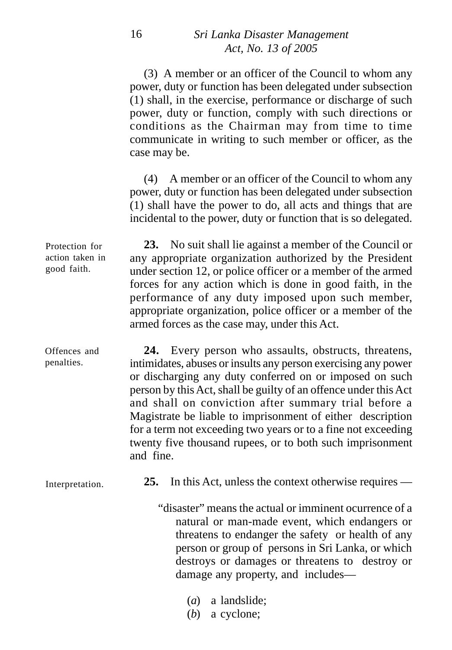(3) A member or an officer of the Council to whom any power, duty or function has been delegated under subsection (1) shall, in the exercise, performance or discharge of such power, duty or function, comply with such directions or conditions as the Chairman may from time to time communicate in writing to such member or officer, as the case may be.

(4) A member or an officer of the Council to whom any power, duty or function has been delegated under subsection (1) shall have the power to do, all acts and things that are incidental to the power, duty or function that is so delegated.

**23.** No suit shall lie against a member of the Council or any appropriate organization authorized by the President under section 12, or police officer or a member of the armed forces for any action which is done in good faith, in the performance of any duty imposed upon such member, appropriate organization, police officer or a member of the armed forces as the case may, under this Act.

**24.** Every person who assaults, obstructs, threatens, intimidates, abuses or insults any person exercising any power or discharging any duty conferred on or imposed on such person by this Act, shall be guilty of an offence under this Act and shall on conviction after summary trial before a Magistrate be liable to imprisonment of either description for a term not exceeding two years or to a fine not exceeding twenty five thousand rupees, or to both such imprisonment and fine. Offences and penalties.

Interpretation.

**25.** In this Act, unless the context otherwise requires —

"disaster" means the actual or imminent ocurrence of a natural or man-made event, which endangers or threatens to endanger the safety or health of any person or group of persons in Sri Lanka, or which destroys or damages or threatens to destroy or damage any property, and includes—

- (*a*) a landslide;
- (*b*) a cyclone;

Protection for action taken in good faith.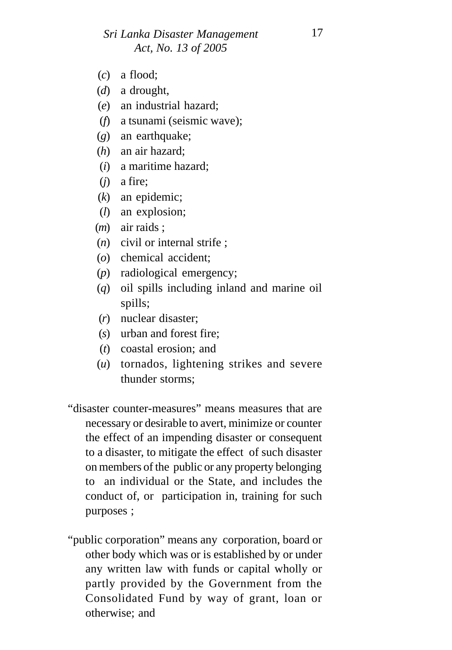- (*c*) a flood;
- (*d*) a drought,
- (*e*) an industrial hazard;
- (*f*) a tsunami (seismic wave);
- (*g*) an earthquake;
- (*h*) an air hazard;
- (*i*) a maritime hazard;
- (*j*) a fire;
- (*k*) an epidemic;
- (*l*) an explosion;
- (*m*) air raids ;
- (*n*) civil or internal strife ;
- (*o*) chemical accident;
- (*p*) radiological emergency;
- (*q*) oil spills including inland and marine oil spills;
- (*r*) nuclear disaster;
- (*s*) urban and forest fire;
- (*t*) coastal erosion; and
- (*u*) tornados, lightening strikes and severe thunder storms;
- "disaster counter-measures" means measures that are necessary or desirable to avert, minimize or counter the effect of an impending disaster or consequent to a disaster, to mitigate the effect of such disaster on members of the public or any property belonging to an individual or the State, and includes the conduct of, or participation in, training for such purposes ;
- "public corporation" means any corporation, board or other body which was or is established by or under any written law with funds or capital wholly or partly provided by the Government from the Consolidated Fund by way of grant, loan or otherwise; and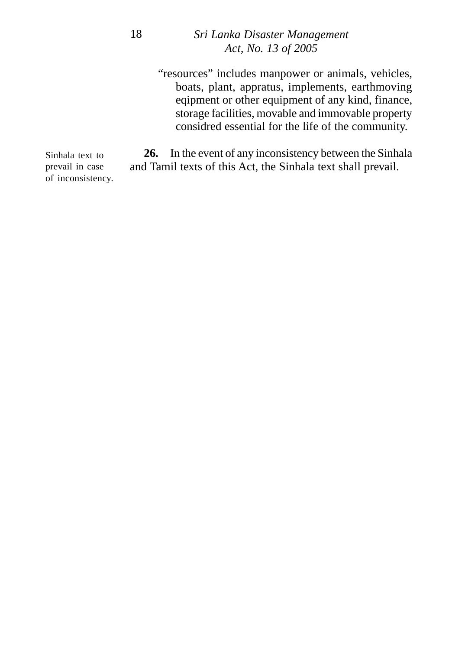"resources" includes manpower or animals, vehicles, boats, plant, appratus, implements, earthmoving eqipment or other equipment of any kind, finance, storage facilities, movable and immovable property considred essential for the life of the community.

**26.** In the event of any inconsistency between the Sinhala and Tamil texts of this Act, the Sinhala text shall prevail. of inconsistency.

Sinhala text to prevail in case